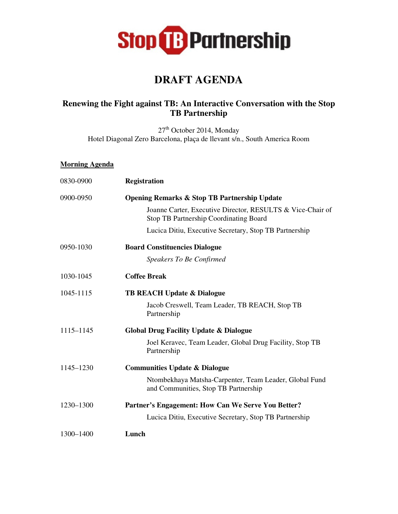

## **DRAFT AGENDA**

## **Renewing the Fight against TB: An Interactive Conversation with the Stop TB Partnership**

27<sup>th</sup> October 2014, Monday Hotel Diagonal Zero Barcelona, plaça de llevant s/n., South America Room

## **Morning Agenda**

| 0830-0900 | <b>Registration</b>                                                                                         |
|-----------|-------------------------------------------------------------------------------------------------------------|
| 0900-0950 | <b>Opening Remarks &amp; Stop TB Partnership Update</b>                                                     |
|           | Joanne Carter, Executive Director, RESULTS & Vice-Chair of<br><b>Stop TB Partnership Coordinating Board</b> |
|           | Lucica Ditiu, Executive Secretary, Stop TB Partnership                                                      |
| 0950-1030 | <b>Board Constituencies Dialogue</b>                                                                        |
|           | Speakers To Be Confirmed                                                                                    |
| 1030-1045 | <b>Coffee Break</b>                                                                                         |
| 1045-1115 | <b>TB REACH Update &amp; Dialogue</b>                                                                       |
|           | Jacob Creswell, Team Leader, TB REACH, Stop TB<br>Partnership                                               |
| 1115–1145 | <b>Global Drug Facility Update &amp; Dialogue</b>                                                           |
|           | Joel Keravec, Team Leader, Global Drug Facility, Stop TB<br>Partnership                                     |
| 1145-1230 | <b>Communities Update &amp; Dialogue</b>                                                                    |
|           | Ntombekhaya Matsha-Carpenter, Team Leader, Global Fund<br>and Communities, Stop TB Partnership              |
| 1230-1300 | Partner's Engagement: How Can We Serve You Better?                                                          |
|           | Lucica Ditiu, Executive Secretary, Stop TB Partnership                                                      |
| 1300-1400 | Lunch                                                                                                       |